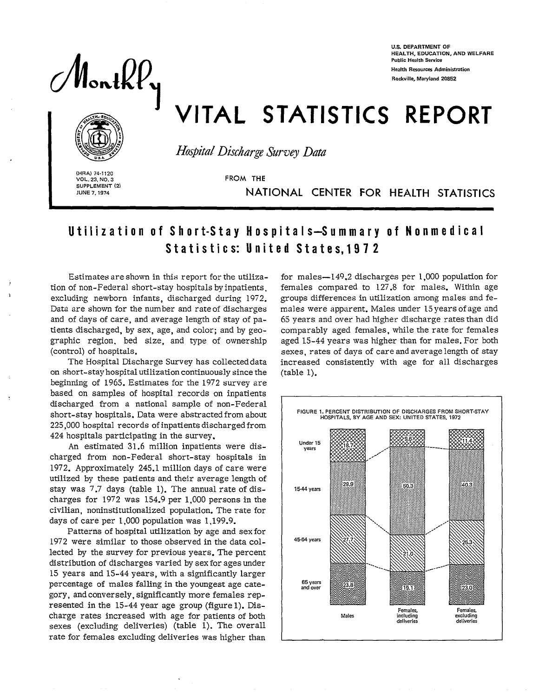$M_{\text{on}}lll$ 

**U.S. DEPARTMENT OF HEALTH, EDUCATION, AND WELFARE Public Health Serwice Health Resources Administration** Rockville, Maryland 20852

## VITAL STATISTICS REPORT



*Hospital DischargeSurvey Data* 

**(HRA) 74.1120** VOL. 23, NO. 3 **SUPPLEMENT (2)** 

I

FROM THE

**JUNE 7, 1974** NATIONAL CENTER FOR HEALTH STATISTICS

## Utilization of Short-Stay Hospita Is-Summary of Nonmed ical Statistics: United State s,1972

Estimates are shown in this report for the utilization of non-Federal short-stay hospitals by inpatients, excluding newborn infants, discharged during 1972. Data are shown for the number and rate of discharges and of days of care, and average length of stay of patients discharged, by sex, age, and color; and by geographic region, bed size, and type of ownership (control) of hospitals.

The Hospital Discharge Survey has collected data on short-stay hospital utilization continuously since the beginning of 1965. Estimates for the 1972 survey are based on samples of hospital records on inpatients discharged from a national sample of non-Federal short-stay hospitals. Data were abstracted from about 225,000 hospital records of inpatients discharged from 424 hospitals participating in the survey.

An estimated 31.6 million inpatients were discharged from non-Federal short-stay hospitals in 1972. Approximately 245.1 million days of care were utilized by these patients and their average length of stay was 7.7 days (table 1). The annual rate of discharges for 1972 was 154.9 per 1,000 persons in the civilian, noninstitutionalized population. The rate for days of care per  $1,000$  population was  $1,199.9$ .

Patterns of hospital utilization by age and sex for 1972 were similar to those observed in the data collected by the survey for previous years. The percent distribution of discharges varied by sex for ages under 15 years and 15-44 years, with a significantly larger percentage of males falling in the youngest age category, and conversely, significantly more females represented in the 15-44 year age group (figure 1). Discharge rates increased with age for patients of both sexes (excluding deliveries) (table  $1$ ). The overall rate for females excluding deliveries was higher than

for males—149.2 discharges per 1,000 population for females compared to 127.8 for males. Within age groups differences in utilization among males and females were apparent. Males under 15 years of age and 65 years and over had higher discharge rates than did comparably aged females, while the rate for females aged 15-44 years was higher than for males. For both sexes, rates of days of care and average length of stay increased consistently with age for all discharges (table 1).

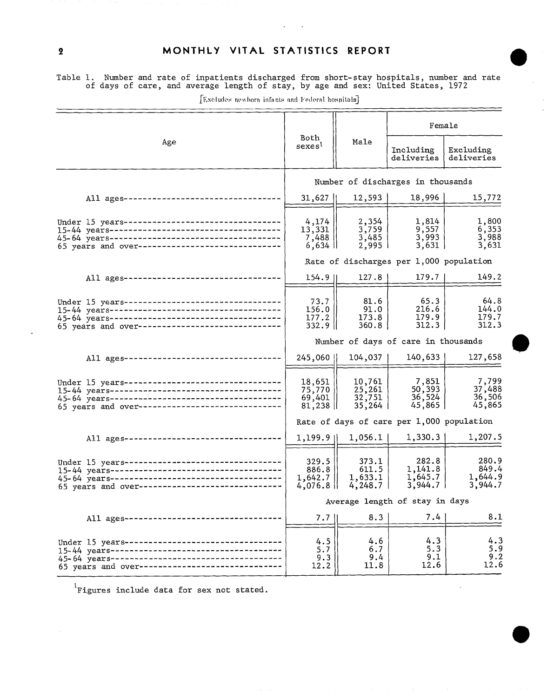## MONTHLY VITAL STATISTICS REPORT

.

Table 1. Number and rate of inpatients discharged from short-stay hospitals, number and rate of days of care, and average length of stay, by age and sex: United States, 1972

|                                                                                                     |                                          |                                      | Female                                    |                                      |  |  |
|-----------------------------------------------------------------------------------------------------|------------------------------------------|--------------------------------------|-------------------------------------------|--------------------------------------|--|--|
| Age                                                                                                 | Both<br>sexes <sup>1</sup>               | Male                                 | Including<br>deliveries                   | Excluding<br>deliveries              |  |  |
|                                                                                                     | Number of discharges in thousands        |                                      |                                           |                                      |  |  |
| All ages---------------------------------                                                           | 31,627                                   | 12,593                               | 18,996                                    | 15,772                               |  |  |
| Under 15 years---------------------------------<br>65 years and over------------------------------  | 4,174<br>13,331<br>7,488<br>$6,634$ II   | 2,354<br>3,759<br>3,485<br>2,995     | 1,814<br>9,557<br>3,993<br>3,631          | 1,800<br>6,353<br>3,988<br>3,631     |  |  |
|                                                                                                     |                                          |                                      | Rate of discharges per 1,000 population   |                                      |  |  |
| All ages---------------------------------                                                           | 154.9                                    | 127.8                                | 179.7                                     | 149.2                                |  |  |
| Under 15 years----------------------------------<br>65 years and over------------------------------ | 73.7<br>156.0<br>177.2<br>332.9 II       | 81.6<br>91.0<br>173.8<br>360.81      | 65.3<br>216.6<br>179.9<br>312.3           | 64.8<br>144.0<br>179.7<br>312.3      |  |  |
|                                                                                                     | Number of days of care in thousands      |                                      |                                           |                                      |  |  |
| All ages----------------------------------                                                          | 245,060                                  | 104,037                              | 140,633                                   | 127,658                              |  |  |
| Under 15 years---------------------------------<br>65 years and over------------------------------  | 18,651<br>75,770<br>69,401<br>81,238     | 10,761<br>25,261<br>32,751<br>35,264 | 7,851<br>50,393<br>36,524<br>45,865       | 7,799<br>37,488<br>36,506<br>45,865  |  |  |
|                                                                                                     |                                          |                                      | Rate of days of care per 1,000 population |                                      |  |  |
| All ages----------------------------------                                                          | 1,199.911                                | 1,056.1                              | 1,330.3                                   | 1,207.5                              |  |  |
| Under 15 years---------------------------------<br>65 years and over------------------------------  | 329.5<br>886.8<br>1,642.7<br>$4,076.8$ H | 373.1<br>611.5<br>1,633.1<br>4,248.7 | 282.8<br>1,141.8<br>1,645.7<br>3,944.7    | 280.9<br>849.4<br>1,644.9<br>3,944.7 |  |  |
|                                                                                                     |                                          |                                      | Average length of stay in days            |                                      |  |  |
| All ages---------------------------------                                                           | 7.7 <sub>1</sub>                         | 8.3                                  | 7.4                                       | 8.1                                  |  |  |
| Under 15 years --------------------------------<br>65 years and over-------------------------       | 4.5<br>5.7<br>9.3<br>12.2                | 4.6<br>6.7<br>9.4<br>11.8            | 4.3<br>5.3<br>9.1<br>12.6                 | 4.3<br>5.9<br>9.2<br>12.6            |  |  |

[Excludes newhorn infants and Federal hospitals]

'Figures include data for sex not stated.

 $\boldsymbol{2}$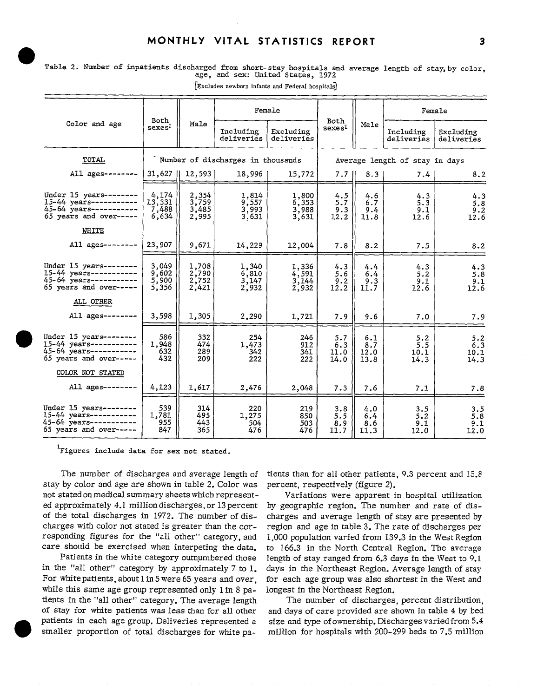|  |  | Table 2. Number of inpatients discharged from short-stay hospitals and average length of stay, by color, |  |                                   |  |  |  |
|--|--|----------------------------------------------------------------------------------------------------------|--|-----------------------------------|--|--|--|
|  |  |                                                                                                          |  | age, and sex: United States, 1972 |  |  |  |

|                                                                                                               |                                   |                                  | Female                            |                                  |                            |                                | Female                     |                            |  |  |  |
|---------------------------------------------------------------------------------------------------------------|-----------------------------------|----------------------------------|-----------------------------------|----------------------------------|----------------------------|--------------------------------|----------------------------|----------------------------|--|--|--|
| Color and age                                                                                                 | Both<br>sexes                     | Male                             | Including<br>deliveries           | Excluding<br>deliveries          | Both<br>sexes <sup>1</sup> | Male                           | Including<br>deliveries    | Excluding<br>deliveries    |  |  |  |
| TOTAL                                                                                                         |                                   |                                  | Number of discharges in thousands |                                  |                            | Average length of stay in days |                            |                            |  |  |  |
| All ages--------                                                                                              |                                   | $31,627$   12,593                | 18,996                            | 15,772                           | $7.7\;$ H                  | 8.3                            | 7.4                        | 8.2                        |  |  |  |
| Under $15$ years--------<br>$15 - 44$ years-----------<br>45-64 years-----------<br>65 years and over-----    | 4,174<br>13.331<br>7,488<br>6,634 | 2,354<br>3,759<br>3,485<br>2,995 | 1,814<br>9,557<br>3,993<br>3,631  | 1,800<br>6,353<br>3,988<br>3,631 | 4.5<br>5.7<br>9.3<br>12.2  | 4.6<br>6.7<br>9.4<br>11.8      | 4.3<br>5.3<br>9.1<br>12.6  | 4.3<br>5.8<br>9.2<br>12.6  |  |  |  |
| WHITE                                                                                                         |                                   |                                  |                                   |                                  |                            |                                |                            |                            |  |  |  |
| All $ages-----$                                                                                               | 23,907                            | 9,671                            | 14,229                            | 12,004                           | 7.8                        | 8.2                            | 7.5                        | 8.2                        |  |  |  |
| Under $15$ vears--------<br>$15-44$ years-----------<br>45-64 years ----------<br>$65$ years and over-----    | 3,049<br>9,602<br>5,900<br>5,356  | 1,708<br>2,790<br>2,752<br>2,421 | 1,340<br>6,810<br>3,147<br>2,932  | 1,336<br>4,591<br>3,144<br>2,932 | 4.3<br>5.6<br>9.2<br>12.2  | 4.4<br>6.4<br>9.3<br>11.7      | 4.3<br>5.2<br>9.1<br>12.6  | 4.3<br>5.8<br>9.1<br>12.6  |  |  |  |
| ALL OTHER                                                                                                     |                                   |                                  |                                   |                                  |                            |                                |                            |                            |  |  |  |
| All ages --------                                                                                             | 3,598                             | 1,305                            | 2,290                             | 1,721                            | 7.9                        | 9.6                            | 7.0                        | 7.9                        |  |  |  |
| Under 15 years -------<br>$15 - 44$ years -----------<br>$45 - 64$ years ----------<br>65 years and over----- | 586<br>1,948<br>632<br>432        | 332<br>474<br>289<br>209         | 254<br>1,473<br>342<br>222        | 246<br>912<br>341<br>222         | 5.7<br>6.3<br>11.0<br>14.0 | 6.1<br>8.7<br>12.0<br>13.8     | 5.2<br>5.5<br>10.1<br>14.3 | 5.2<br>6.3<br>10.1<br>14.3 |  |  |  |
| COLOR NOT STATED                                                                                              |                                   |                                  |                                   |                                  |                            |                                |                            |                            |  |  |  |
| All $a$ ges--------                                                                                           | 4,123                             | 1,617                            | 2,476                             | 2,048                            | 7.3                        | 7.6                            | 7.1                        | 7.8                        |  |  |  |
| Under 15 years --------<br>$15-44$ years-----------<br>$45 - 64$ years ----------<br>65 years and over-----   | 539<br>1,781<br>955<br>847        | 314<br>495<br>443<br>365         | 220<br>1,275<br>504<br>476        | 219<br>850<br>503<br>476         | 3.8<br>5.5<br>8.9<br>11.7  | 4.0<br>6.4<br>8.6<br>11.3      | 3.5<br>5.2<br>9.1<br>12.0  | 3.5<br>5.8<br>9.1<br>12.0  |  |  |  |

[Excludes newborn infants and Federal hospitals]

<sup>1</sup>Figures include data for sex not stated

The number of discharges and average length of stay by color and age are shown in table 2. Color was not statedonmedical summary sheets which represented approximately 4.1 million discharges, or 13 percent of the total discharges in 1972. The number of discharges with color not stated is greater than the corresponding figures for the "all other" category, and care should be exercised when interpeting the data.

Patients in the white category outnumbered those in the "all other" category by approximately  $7$  to  $1$ . For white patients, about l in 5 were 65 years and over, while this same age group represented only 1 in 8 patients in the "all other" category. The average length of stay for white patients was less than for all other patients in each age group. Deliveries represented a smaller proportion of total discharges for white patients than for all other patients, 9.3 percent and 15.8 percent, respectively (figure 2).

Variations were apparent in hospital utilization by geographic region. The number and rate of discharges and average length of stay are presented by region and age in table 3. The rate of discharges per 1,000 population varied from 139.3 in the West Region to **166.3** in the North Central Region. The average length of stay ranged from 6.3 days in the West to 9.1 days in the Northeast Region. Average length of stay for each age group was also shortest in the West and longest in the Northeast Region.

The number of discharges, percent distribution, and days of care provided are shown in table 4 by bed size and type of ownership. Discharges varied from 5.4 million for hospitals with **200-299** beds to **7.5** million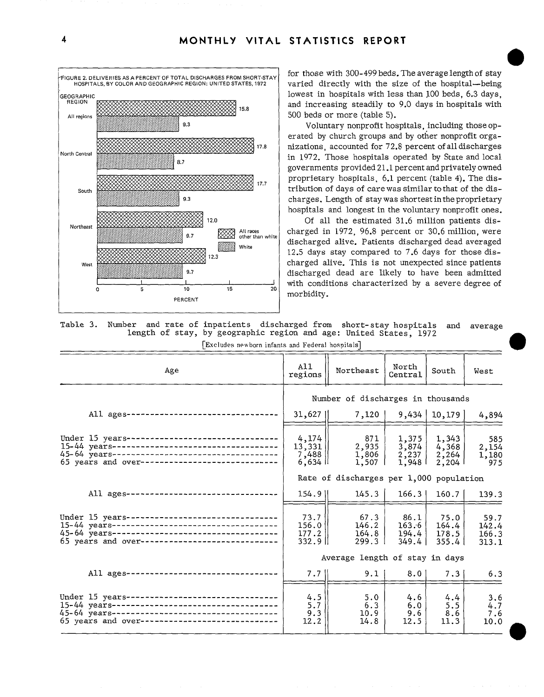

for those with 300-499 beds. The average length of stay varied directly with the size of the hospital—being lowest in hospitals with less than JOO beds, 6.3 days, and increasing steadily to 9.0 days in hospitals with 500 beds or more (table 5).

Voluntary nonprofit hospitals, including those operated by church groups and by other nonprofit organizations, accounted for 72.8 percent ofalldischarges in 1972. Those hospitals operated by State and local governments provided 21.1 percent and privately owned proprietary hospitals, 6.1 percent (table 4). The distribution of days of carewas similar tothat of the discharges. Length of stay was shortest in the proprietary hospitals and longest in the voluntary nonprofit ones.

Of all the estimated 31.6 million patients discharged in 1972, 96.8 percent or 30.6 million, were discharged alive. Patients discharged dead averaged 12.5 days stay compared to 7.6 days for those discharged alive. This is not unexpected since patients discharged dead are likely to have been admitted with conditions characterized by a severe degree of morbidity.

o

o

Table 3. Number and rate of inpatients discharged from short-stay hospitals and average length of stay, by geographic region and age: United States, 1972

[Excludes newborn infants and Federal hospitals]

| Age                                                                                                                                                   | A11<br>regions                                     | Northeast                               | North<br>Central                          | South                            | West                            |
|-------------------------------------------------------------------------------------------------------------------------------------------------------|----------------------------------------------------|-----------------------------------------|-------------------------------------------|----------------------------------|---------------------------------|
|                                                                                                                                                       | Number of discharges in thousands                  |                                         |                                           |                                  |                                 |
| All ages------------------------------                                                                                                                | $31,627$                                           | 7,120                                   |                                           | 9,434   10,179                   | 4,894                           |
| Under 15 years--------------------------------<br>65 years and over-----------------------------                                                      | 4,174<br>$13,331$   <br>7,488<br>$6,634$ II        | 871<br>2,935<br>1,806<br>$1,507$        | 1,375<br>3,874<br>2,237<br>1,948          | 1,343<br>4,368<br>2,264<br>2,204 | 585<br>2,154<br>1,180<br>975    |
|                                                                                                                                                       |                                                    | Rate of discharges per 1,000 population |                                           |                                  |                                 |
| All ages---------------------------------                                                                                                             | $154.9$                                            | 145.3                                   | 166.3                                     | 160.7                            | 139.3                           |
| Under 15 years---------------------------------<br>45-64 years-----------------------------------<br>65 years and over-----------------------------   | 73.7<br>$156.0$ $\parallel$<br>177.2   <br>$332.9$ | 67.3<br>146.2<br>164.8<br>$299.3 \perp$ | 86.1 <br>$163.6$ $\mid$<br>194.4<br>349.4 | 75.0<br>164.4<br>178.5<br>355.4  | 59.7<br>142.4<br>166.3<br>313.1 |
|                                                                                                                                                       |                                                    | Average length of stay in days          |                                           |                                  |                                 |
| All ages ------------------------------                                                                                                               | $7.7$                                              | $9.1 \mid$                              | 8.0                                       | 7.31                             | 6.3                             |
| Under $15$ years---------------------------------<br>45-64 years-----------------------------------<br>65 years and over----------------------------- | 4.5<br>5.7<br>9.3<br>12.2                          | 5.0<br>6.3<br>10.9<br>14.8              | 4.6<br>6.0<br>9.6<br>12.5                 | 4.4<br>5.5<br>8.6<br>11.3        | 3.6<br>4.7<br>7.6<br>10.0       |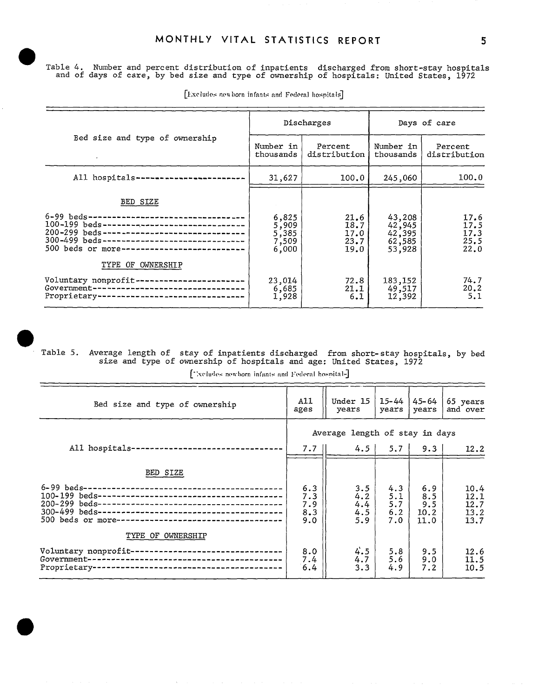Table 4. Number and percent distribution of inpatients discharged from short-stay hospitals and of days of care, by bed size and type of ownership of hospitals: United States, 1972

|                                                                                                                                                                                                                                                                          |                                           | Discharges                           | Days of care                                   |                                      |  |
|--------------------------------------------------------------------------------------------------------------------------------------------------------------------------------------------------------------------------------------------------------------------------|-------------------------------------------|--------------------------------------|------------------------------------------------|--------------------------------------|--|
| Bed size and type of ownership                                                                                                                                                                                                                                           | Number in<br>thousands                    | Percent<br>distribution              | Number in<br>thousands                         | Percent<br>distribution              |  |
| All hospitals------------------------                                                                                                                                                                                                                                    | 31,627                                    | 100.0                                | 245,060                                        | 100.0                                |  |
| BED SIZE<br>6-99 beds----------------------------------<br>100-199 beds-------------------------------<br>200-299 beds--------------------------------<br>300-499 beds-------------------------------<br>500 beds or more--------------------------<br>TYPE OF OWNERSHIP | 6,825<br>5,909<br>5,385<br>7,509<br>6,000 | 21.6<br>18.7<br>17.0<br>23.7<br>19.0 | 43,208<br>42,945<br>42,395<br>62,585<br>53,928 | 17.6<br>17.5<br>17.3<br>25.5<br>22.0 |  |
| Voluntary nonprofit-----------------------<br>Government----------------------------------<br>Proprietary--------------------------------                                                                                                                                | 23,014<br>6,685<br>1,928                  | 72.8<br>21.1<br>6.1                  | 183,152<br>49,517<br>12,392                    | 74.7<br>20.2<br>5.1                  |  |

[Excludes newborn infants and Federal hospitals]

 $\bullet$ 

Table 5. Average length of stay of inpatients discharged from short-stay hospitals, by bed size and type of ownership of hospitals and age: United States, 1972

['xcludes newborn infants and Federal hospitals]

| Bed size and type of ownership                                                                                    | A11<br>ages                     | Under 15<br>years               | 15-44<br>years           | 45–64<br>years            | 65 years<br>and over         |
|-------------------------------------------------------------------------------------------------------------------|---------------------------------|---------------------------------|--------------------------|---------------------------|------------------------------|
|                                                                                                                   |                                 | Average length of stay in days  |                          |                           |                              |
| All hospitals-<br>--------------------------                                                                      | 7.7 II                          | $4.5 \mid$                      | $5.7 \;   \;$            | 9.3                       | 12.2                         |
| BED SIZE                                                                                                          |                                 |                                 |                          |                           |                              |
|                                                                                                                   | 6.3<br>7.3<br>7.9<br>8.3<br>9.0 | 3.5<br>4.2<br>4.4<br>4.5<br>5.9 | 4.3<br>5.1<br>5.7<br>6.2 | 6.9<br>8.5<br>9.5<br>10.2 | 10.4<br>12.1<br>12.7<br>13.2 |
| 500 beds or more--------------------------------<br>TYPE OF OWNERSHIP                                             |                                 |                                 | 7.0                      | 11.0                      | 13.7                         |
| Voluntary nonprofit-<br>----------------<br>Government--<br>Proprietary--<br>------------------------------------ | 8.0<br>7.4<br>6.4               | 4.5<br>4.7<br>3.3               | 5.8<br>5.6<br>4.9        | 9.5<br>9.0<br>7.2         | 12.6<br>11.5<br>10.5         |